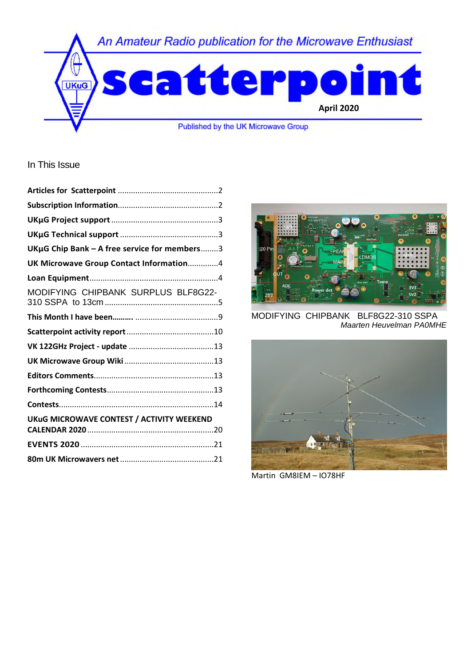

In This Issue

| UKµG Chip Bank - A free service for members3 |  |
|----------------------------------------------|--|
| UK Microwave Group Contact Information4      |  |
|                                              |  |
| MODIFYING CHIPBANK SURPLUS BLF8G22-          |  |
|                                              |  |
|                                              |  |
|                                              |  |
|                                              |  |
|                                              |  |
|                                              |  |
|                                              |  |
| UKuG MICROWAVE CONTEST / ACTIVITY WEEKEND    |  |
|                                              |  |
|                                              |  |
|                                              |  |
|                                              |  |



MODIFYING CHIPBANK BLF8G22-310 SSPA *Maarten Heuvelman PA0MHE* 



Martin GM8IEM – IO78HF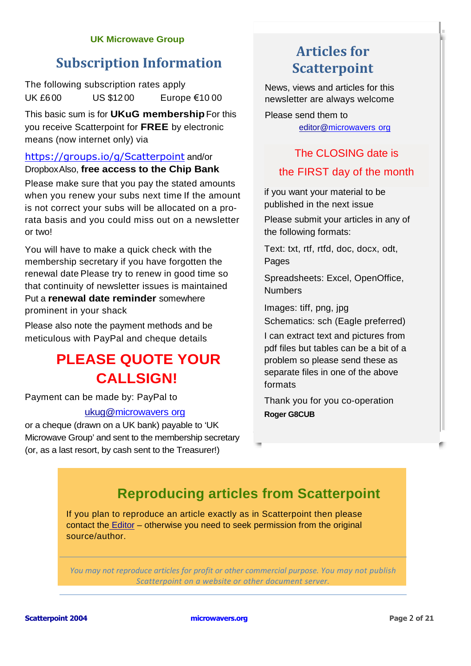#### **UK Microwave Group**

# **Subscription Information**

The following subscription rates apply. UK £6.00 US \$12.00 Europe €10.00

This basic sum is for **UKuG membership**. For this you receive Scatterpoint for **FREE** by electronic means (now internet only) via

## https://groups.io/g/Scatterpoint and/or Dropbox. Also, **free access to the Chip Bank**.

Please make sure that you pay the stated amounts when you renew your subs next time. If the amount is not correct your subs will be allocated on a prorata basis and you could miss out on a newsletter or two!

You will have to make a quick check with the membership secretary if you have forgotten the renewal date. Please try to renew in good time so that continuity of newsletter issues is maintained. Put a **renewal date reminder** somewhere prominent in your shack.

Please also note the payment methods and be meticulous with PayPal and cheque details.

# **PLEASE QUOTE YOUR CALL SIGN!**

Payment can be made by: PayPal to

### ukug@microwavers. org

or a cheque (drawn on a UK bank) payable to 'UK Microwave Group' and sent to the membership secretary (or, as a last resort, by cash sent to the Treasurer!)

# **Articles for Scatterpoint**

News, views and articles for this newsletter are always welcome.

Please send them to editor@microwavers. org

## The CLOSING date is

## the FIRST day of the month

if you want your material to be published in the next issue.

Please submit your articles in any of the following formats:

Text: txt, rtf, rtfd, doc, docx, odt, Pages

Spreadsheets: Excel, OpenOffice, Numbers

Images: tiff, png, jpg Schematics: sch (Eagle preferred)

I can extract text and pictures from pdf files but tables can be a bit of a problem so please send these as separate files in one of the above formats.

Thank you for you co-operation. **Roger G8CUB** 

# **Reproducing articles from Scatterpoint**

If you plan to reproduce an article exactly as in Scatterpoint then please contact the Editor – otherwise you need to seek permission from the original source/author.

*You may not reproduce articles for profit or other commercial purpose. You may not publish Scatterpoint on a website or other document server.*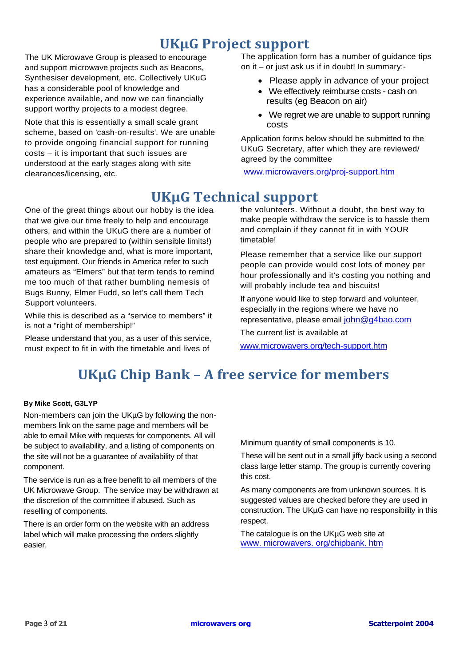# **UKµG Project support**

The UK Microwave Group is pleased to encourage and support microwave projects such as Beacons, Synthesiser development, etc. Collectively UKuG has a considerable pool of knowledge and experience available, and now we can financially support worthy projects to a modest degree.

Note that this is essentially a small scale grant scheme, based on 'cash-on-results'. We are unable to provide ongoing financial support for running costs – it is important that such issues are understood at the early stages along with site clearances/licensing, etc.

The application form has a number of guidance tips on it – or just ask us if in doubt! In summary:-

- Please apply in advance of your project
- We effectively reimburse costs cash on results (eg Beacon on air)
- We regret we are unable to support running costs

Application forms below should be submitted to the UKuG Secretary, after which they are reviewed/ agreed by the committee

www.microwavers.org/proj-support.htm

# **UKµG Technical support**

One of the great things about our hobby is the idea that we give our time freely to help and encourage others, and within the UKuG there are a number of people who are prepared to (within sensible limits!) share their knowledge and, what is more important, test equipment. Our friends in America refer to such amateurs as "Elmers" but that term tends to remind me too much of that rather bumbling nemesis of Bugs Bunny, Elmer Fudd, so let's call them Tech Support volunteers.

While this is described as a "service to members" it is not a "right of membership!"

Please understand that you, as a user of this service, must expect to fit in with the timetable and lives of

the volunteers. Without a doubt, the best way to make people withdraw the service is to hassle them and complain if they cannot fit in with YOUR timetable!

Please remember that a service like our support people can provide would cost lots of money per hour professionally and it's costing you nothing and will probably include tea and biscuits!

If anyone would like to step forward and volunteer, especially in the regions where we have no representative, please email john@g4bao.com

The current list is available at

www.microwavers.org/tech-support.htm

# **UKµG Chip Bank – A free service for members**

#### **By Mike Scott, G3LYP**

Non-members can join the UKµG by following the nonmembers link on the same page and members will be able to email Mike with requests for components. All will be subject to availability, and a listing of components on the site will not be a guarantee of availability of that component.

The service is run as a free benefit to all members of the UK Microwave Group. The service may be withdrawn at the discretion of the committee if abused. Such as reselling of components.

There is an order form on the website with an address label which will make processing the orders slightly easier.

Minimum quantity of small components is 10.

These will be sent out in a small jiffy back using a second class large letter stamp. The group is currently covering this cost.

As many components are from unknown sources. It is suggested values are checked before they are used in construction. The UKµG can have no responsibility in this respect.

The catalogue is on the UKµG web site at www. microwavers. org/chipbank. htm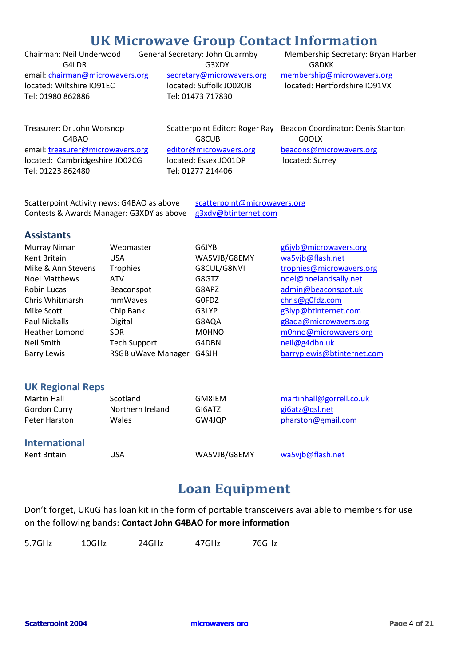# **UK Microwave Group Contact Information**

located: Wiltshire IO91EC located: Suffolk JO02OB located: Hertfordshire IO91VX Tel: 01980 862886 Tel: 01473 717830

G4LDR G3XDY G3XDY G8DKK

Chairman: Neil Underwood General Secretary: John Quarmby Membership Secretary: Bryan Harber email: chairman@microwavers.org secretary@microwavers.org membership@microwavers.org

email: treasurer@microwavers.org editor@microwavers.org beacons@microwavers.org located: Cambridgeshire JO02CG located: Essex JO01DP located: Surrey Tel: 01223 862480 Tel: 01277 214406

G4BAO G8CUB G6600LX

Treasurer: Dr John Worsnop Scatterpoint Editor: Roger Ray Beacon Coordinator: Denis Stanton

Scatterpoint Activity news: G4BAO as above scatterpoint@microwavers.org Contests & Awards Manager: G3XDY as above g3xdy@btinternet.com

### **Assistants**

| Murray Niman          | Webmaster           | G6JYB        | g6jyb@microwavers.org      |
|-----------------------|---------------------|--------------|----------------------------|
| Kent Britain          | <b>USA</b>          | WA5VJB/G8EMY | wa5vjb@flash.net           |
| Mike & Ann Stevens    | <b>Trophies</b>     | G8CUL/G8NVI  | trophies@microwavers.org   |
| <b>Noel Matthews</b>  | <b>ATV</b>          | G8GTZ        | noel@noelandsally.net      |
| Robin Lucas           | Beaconspot          | G8APZ        | admin@beaconspot.uk        |
| Chris Whitmarsh       | mmWaves             | G0FDZ        | chris@g0fdz.com            |
| Mike Scott            | Chip Bank           | G3LYP        | g3lyp@btinternet.com       |
| Paul Nickalls         | Digital             | G8AQA        | g8aqa@microwavers.org      |
| <b>Heather Lomond</b> | <b>SDR</b>          | <b>M0HNO</b> | m0hno@microwavers.org      |
| Neil Smith            | <b>Tech Support</b> | G4DBN        | neil@g4dbn.uk              |
| <b>Barry Lewis</b>    | RSGB uWave Manager  | G4SJH        | barryplewis@btinternet.com |

### **UK Regional Reps**

| Martin Hall          | Scotland         | GM8IEM       | martinhall@gorrell.co.uk |
|----------------------|------------------|--------------|--------------------------|
| Gordon Curry         | Northern Ireland | GI6ATZ       | gi6atz@qsl.net           |
| Peter Harston        | Wales            | GW4JQP       | pharston@gmail.com       |
| <b>International</b> |                  |              |                          |
| Kent Britain         | USA              | WA5VJB/G8EMY | wa5vjb@flash.net         |

# **Loan Equipment**

Don't forget, UKuG has loan kit in the form of portable transceivers available to members for use on the following bands: **Contact John G4BAO for more information** 

| 5.7GHz | 10GHz | 24GHz | 47GHz | 76GHz |
|--------|-------|-------|-------|-------|
|        |       |       |       |       |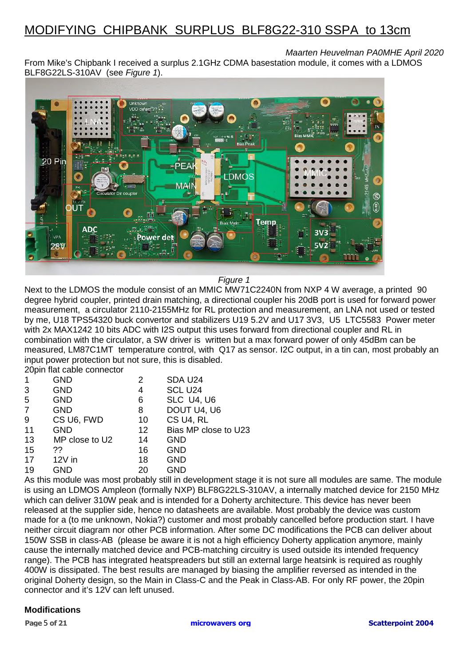# MODIFYING CHIPBANK SURPLUS BLF8G22-310 SSPA to 13cm

## *Maarten Heuvelman PA0MHE April 2020*

From Mike's Chipbank I received a surplus 2.1GHz CDMA basestation module, it comes with a LDMOS BLF8G22LS-310AV (see *Figure 1*).



### *Figure 1*

Next to the LDMOS the module consist of an MMIC MW71C2240N from NXP 4 W average, a printed 90 degree hybrid coupler, printed drain matching, a directional coupler his 20dB port is used for forward power measurement, a circulator 2110-2155MHz for RL protection and measurement, an LNA not used or tested by me, U18 TPS54320 buck convertor and stabilizers U19 5.2V and U17 3V3, U5 LTC5583 Power meter with 2x MAX1242 10 bits ADC with I2S output this uses forward from directional coupler and RL in combination with the circulator, a SW driver is written but a max forward power of only 45dBm can be measured, LM87C1MT temperature control, with Q17 as sensor. I2C output, in a tin can, most probably an input power protection but not sure, this is disabled.

20pin flat cable connector

|    | <b>GND</b>     | 2       | SDA U24              |
|----|----------------|---------|----------------------|
| 3  | <b>GND</b>     | 4       | SCL U24              |
| 5  | <b>GND</b>     | 6       | SLC U4, U6           |
| 7  | <b>GND</b>     | 8       | DOUT U4, U6          |
| 9  | CS U6, FWD     | 10      | CS U4, RL            |
| 11 | <b>GND</b>     | $12 \,$ | Bias MP close to U23 |
| 13 | MP close to U2 | 14      | <b>GND</b>           |
| 15 | ??             | 16      | <b>GND</b>           |
| 17 | $12V$ in       | 18      | <b>GND</b>           |
| 19 | <b>GND</b>     | 20      | <b>GND</b>           |
|    |                |         |                      |

As this module was most probably still in development stage it is not sure all modules are same. The module is using an LDMOS Ampleon (formally NXP) BLF8G22LS-310AV, a internally matched device for 2150 MHz which can deliver 310W peak and is intended for a Doherty architecture. This device has never been released at the supplier side, hence no datasheets are available. Most probably the device was custom made for a (to me unknown, Nokia?) customer and most probably cancelled before production start. I have neither circuit diagram nor other PCB information. After some DC modifications the PCB can deliver about 150W SSB in class-AB (please be aware it is not a high efficiency Doherty application anymore, mainly cause the internally matched device and PCB-matching circuitry is used outside its intended frequency range). The PCB has integrated heatspreaders but still an external large heatsink is required as roughly 400W is dissipated. The best results are managed by biasing the amplifier reversed as intended in the original Doherty design, so the Main in Class-C and the Peak in Class-AB. For only RF power, the 20pin connector and it's 12V can left unused.

#### **Modifications**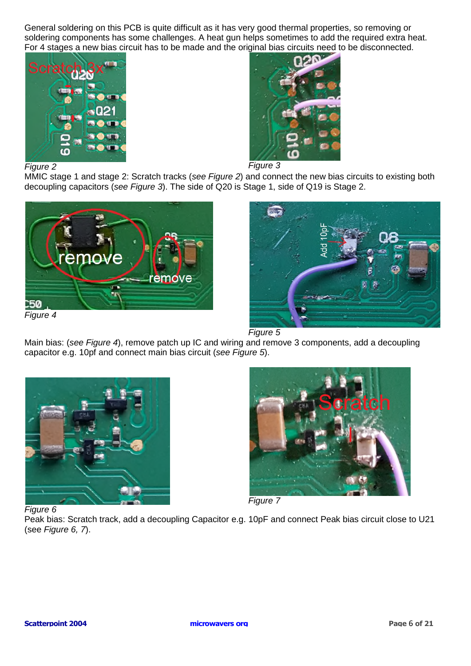General soldering on this PCB is quite difficult as it has very good thermal properties, so removing or soldering components has some challenges. A heat gun helps sometimes to add the required extra heat. For 4 stages a new bias circuit has to be made and the original bias circuits need to be disconnected.



*Figure 2 Figure 3* 

MMIC stage 1 and stage 2: Scratch tracks (*see Figure 2*) and connect the new bias circuits to existing both decoupling capacitors (*see Figure 3*). The side of Q20 is Stage 1, side of Q19 is Stage 2.





*Figure 5*

Main bias: (*see Figure 4*), remove patch up IC and wiring and remove 3 components, add a decoupling capacitor e.g. 10pf and connect main bias circuit (*see Figure 5*).





*Figure 6* 

Peak bias: Scratch track, add a decoupling Capacitor e.g. 10pF and connect Peak bias circuit close to U21 (see *Figure 6, 7*).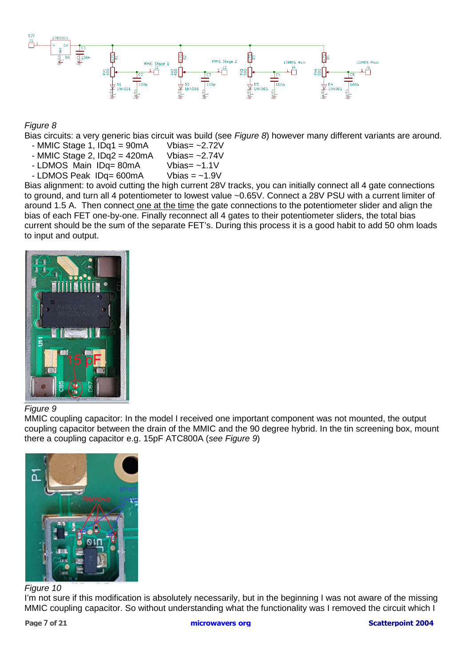

### *Figure 8*

Bias circuits: a very generic bias circuit was build (see *Figure 8*) however many different variants are around.

- MMIC Stage 1, IDq1 = 90mA Vbias=  $\sim$ 2.72V<br>- MMIC Stage 2, IDq2 = 420mA Vbias=  $\sim$ 2.74V
- MMIC Stage 2,  $IDq2 = 420mA$
- LDMOS Main IDq= 80mA Vbias= ~1.1V
- $-LDMOS$  Peak  $IDq = 600mA$  Vbias = ~1.9V

Bias alignment: to avoid cutting the high current 28V tracks, you can initially connect all 4 gate connections to ground, and turn all 4 potentiometer to lowest value ~0.65V. Connect a 28V PSU with a current limiter of around 1.5 A. Then connect one at the time the gate connections to the potentiometer slider and align the bias of each FET one-by-one. Finally reconnect all 4 gates to their potentiometer sliders, the total bias current should be the sum of the separate FET's. During this process it is a good habit to add 50 ohm loads to input and output.



#### *Figure 9*

MMIC coupling capacitor: In the model I received one important component was not mounted, the output coupling capacitor between the drain of the MMIC and the 90 degree hybrid. In the tin screening box, mount there a coupling capacitor e.g. 15pF ATC800A (*see Figure 9*)



#### *Figure 10*

I'm not sure if this modification is absolutely necessarily, but in the beginning I was not aware of the missing MMIC coupling capacitor. So without understanding what the functionality was I removed the circuit which I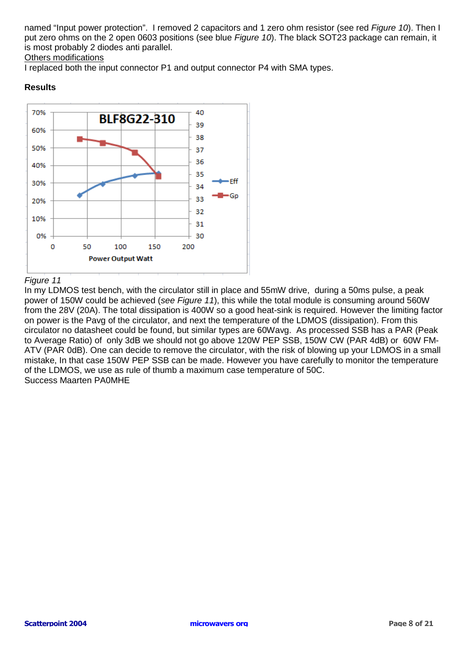named "Input power protection". I removed 2 capacitors and 1 zero ohm resistor (see red *Figure 10*). Then I put zero ohms on the 2 open 0603 positions (see blue *Figure 10*). The black SOT23 package can remain, it is most probably 2 diodes anti parallel.

#### Others modifications

I replaced both the input connector P1 and output connector P4 with SMA types.

#### **Results**



#### *Figure 11*

In my LDMOS test bench, with the circulator still in place and 55mW drive, during a 50ms pulse, a peak power of 150W could be achieved (*see Figure 11*), this while the total module is consuming around 560W from the 28V (20A). The total dissipation is 400W so a good heat-sink is required. However the limiting factor on power is the Pavg of the circulator, and next the temperature of the LDMOS (dissipation). From this circulator no datasheet could be found, but similar types are 60Wavg. As processed SSB has a PAR (Peak to Average Ratio) of only 3dB we should not go above 120W PEP SSB, 150W CW (PAR 4dB) or 60W FM-ATV (PAR 0dB). One can decide to remove the circulator, with the risk of blowing up your LDMOS in a small mistake, In that case 150W PEP SSB can be made. However you have carefully to monitor the temperature of the LDMOS, we use as rule of thumb a maximum case temperature of 50C. Success Maarten PA0MHE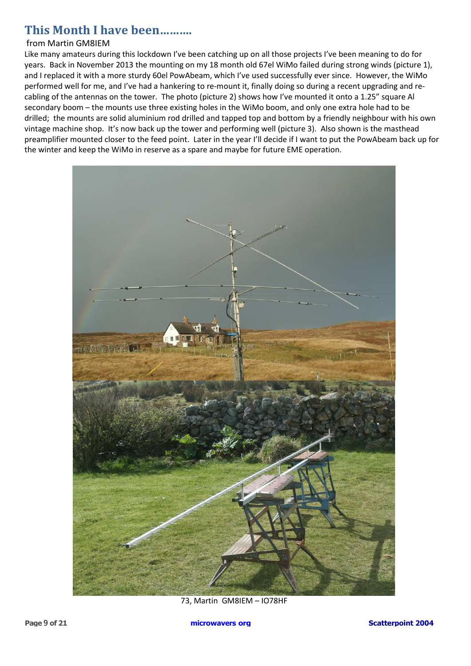# **This Month I have been……….**

#### from Martin GM8IEM

Like many amateurs during this lockdown I've been catching up on all those projects I've been meaning to do for years. Back in November 2013 the mounting on my 18 month old 67el WiMo failed during strong winds (picture 1), and I replaced it with a more sturdy 60el PowAbeam, which I've used successfully ever since. However, the WiMo performed well for me, and I've had a hankering to re-mount it, finally doing so during a recent upgrading and recabling of the antennas on the tower. The photo (picture 2) shows how I've mounted it onto a 1.25" square Al secondary boom – the mounts use three existing holes in the WiMo boom, and only one extra hole had to be drilled; the mounts are solid aluminium rod drilled and tapped top and bottom by a friendly neighbour with his own vintage machine shop. It's now back up the tower and performing well (picture 3). Also shown is the masthead preamplifier mounted closer to the feed point. Later in the year I'll decide if I want to put the PowAbeam back up for the winter and keep the WiMo in reserve as a spare and maybe for future EME operation.



73, Martin GM8IEM – IO78HF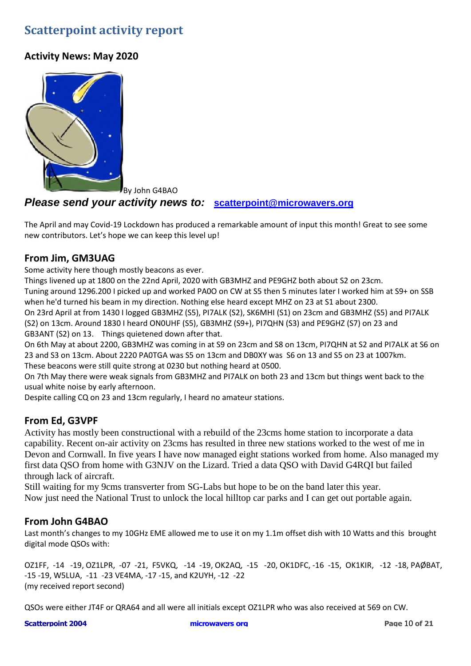# **Scatterpoint activity report**

## **Activity News: May 2020**



By John G4BAO

### *Please send your activity news to:* **scatterpoint@microwavers.org**

The April and may Covid-19 Lockdown has produced a remarkable amount of input this month! Great to see some new contributors. Let's hope we can keep this level up!

## **From Jim, GM3UAG**

Some activity here though mostly beacons as ever.

Things livened up at 1800 on the 22nd April, 2020 with GB3MHZ and PE9GHZ both about S2 on 23cm. Tuning around 1296.200 I picked up and worked PA0O on CW at S5 then 5 minutes later I worked him at S9+ on SSB when he'd turned his beam in my direction. Nothing else heard except MHZ on 23 at S1 about 2300.

On 23rd April at from 1430 I logged GB3MHZ (S5), PI7ALK (S2), SK6MHI (S1) on 23cm and GB3MHZ (S5) and PI7ALK (S2) on 13cm. Around 1830 I heard ON0UHF (S5), GB3MHZ (S9+), PI7QHN (S3) and PE9GHZ (S7) on 23 and GB3ANT (S2) on 13. Things quietened down after that.

On 6th May at about 2200, GB3MHZ was coming in at S9 on 23cm and S8 on 13cm, PI7QHN at S2 and PI7ALK at S6 on 23 and S3 on 13cm. About 2220 PA0TGA was S5 on 13cm and DB0XY was S6 on 13 and S5 on 23 at 1007km. These beacons were still quite strong at 0230 but nothing heard at 0500.

On 7th May there were weak signals from GB3MHZ and PI7ALK on both 23 and 13cm but things went back to the usual white noise by early afternoon.

Despite calling CQ on 23 and 13cm regularly, I heard no amateur stations.

## **From Ed, G3VPF**

Activity has mostly been constructional with a rebuild of the 23cms home station to incorporate a data capability. Recent on-air activity on 23cms has resulted in three new stations worked to the west of me in Devon and Cornwall. In five years I have now managed eight stations worked from home. Also managed my first data QSO from home with G3NJV on the Lizard. Tried a data QSO with David G4RQI but failed through lack of aircraft.

Still waiting for my 9cms transverter from SG-Labs but hope to be on the band later this year. Now just need the National Trust to unlock the local hilltop car parks and I can get out portable again.

### **From John G4BAO**

Last month's changes to my 10GHz EME allowed me to use it on my 1.1m offset dish with 10 Watts and this brought digital mode QSOs with:

OZ1FF, -14 -19, OZ1LPR, -07 -21, F5VKQ, -14 -19, OK2AQ, -15 -20, OK1DFC, -16 -15, OK1KIR, -12 -18, PAØBAT, -15 -19, W5LUA, -11 -23 VE4MA, -17 -15, and K2UYH, -12 -22 (my received report second)

QSOs were either JT4F or QRA64 and all were all initials except OZ1LPR who was also received at 569 on CW.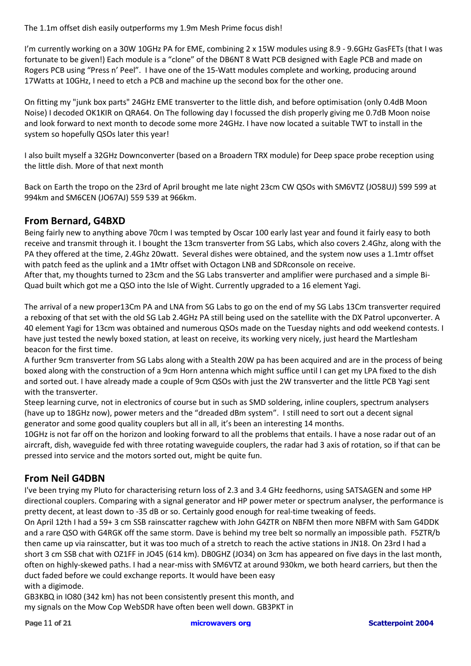The 1.1m offset dish easily outperforms my 1.9m Mesh Prime focus dish!

I'm currently working on a 30W 10GHz PA for EME, combining 2 x 15W modules using 8.9 - 9.6GHz GasFETs (that I was fortunate to be given!) Each module is a "clone" of the DB6NT 8 Watt PCB designed with Eagle PCB and made on Rogers PCB using "Press n' Peel". I have one of the 15-Watt modules complete and working, producing around 17Watts at 10GHz, I need to etch a PCB and machine up the second box for the other one.

On fitting my "junk box parts" 24GHz EME transverter to the little dish, and before optimisation (only 0.4dB Moon Noise) I decoded OK1KIR on QRA64. On The following day I focussed the dish properly giving me 0.7dB Moon noise and look forward to next month to decode some more 24GHz. I have now located a suitable TWT to install in the system so hopefully QSOs later this year!

I also built myself a 32GHz Downconverter (based on a Broadern TRX module) for Deep space probe reception using the little dish. More of that next month

Back on Earth the tropo on the 23rd of April brought me late night 23cm CW QSOs with SM6VTZ (JO58UJ) 599 599 at 994km and SM6CEN (JO67AJ) 559 539 at 966km.

## **From Bernard, G4BXD**

Being fairly new to anything above 70cm I was tempted by Oscar 100 early last year and found it fairly easy to both receive and transmit through it. I bought the 13cm transverter from SG Labs, which also covers 2.4Ghz, along with the PA they offered at the time, 2.4Ghz 20watt. Several dishes were obtained, and the system now uses a 1.1mtr offset with patch feed as the uplink and a 1Mtr offset with Octagon LNB and SDRconsole on receive.

After that, my thoughts turned to 23cm and the SG Labs transverter and amplifier were purchased and a simple Bi-Quad built which got me a QSO into the Isle of Wight. Currently upgraded to a 16 element Yagi.

The arrival of a new proper13Cm PA and LNA from SG Labs to go on the end of my SG Labs 13Cm transverter required a reboxing of that set with the old SG Lab 2.4GHz PA still being used on the satellite with the DX Patrol upconverter. A 40 element Yagi for 13cm was obtained and numerous QSOs made on the Tuesday nights and odd weekend contests. I have just tested the newly boxed station, at least on receive, its working very nicely, just heard the Martlesham beacon for the first time.

A further 9cm transverter from SG Labs along with a Stealth 20W pa has been acquired and are in the process of being boxed along with the construction of a 9cm Horn antenna which might suffice until I can get my LPA fixed to the dish and sorted out. I have already made a couple of 9cm QSOs with just the 2W transverter and the little PCB Yagi sent with the transverter.

Steep learning curve, not in electronics of course but in such as SMD soldering, inline couplers, spectrum analysers (have up to 18GHz now), power meters and the "dreaded dBm system". I still need to sort out a decent signal generator and some good quality couplers but all in all, it's been an interesting 14 months.

10GHz is not far off on the horizon and looking forward to all the problems that entails. I have a nose radar out of an aircraft, dish, waveguide fed with three rotating waveguide couplers, the radar had 3 axis of rotation, so if that can be pressed into service and the motors sorted out, might be quite fun.

## **From Neil G4DBN**

I've been trying my Pluto for characterising return loss of 2.3 and 3.4 GHz feedhorns, using SATSAGEN and some HP directional couplers. Comparing with a signal generator and HP power meter or spectrum analyser, the performance is pretty decent, at least down to -35 dB or so. Certainly good enough for real-time tweaking of feeds.

On April 12th I had a 59+ 3 cm SSB rainscatter ragchew with John G4ZTR on NBFM then more NBFM with Sam G4DDK and a rare QSO with G4RGK off the same storm. Dave is behind my tree belt so normally an impossible path. F5ZTR/b then came up via rainscatter, but it was too much of a stretch to reach the active stations in JN18. On 23rd I had a short 3 cm SSB chat with OZ1FF in JO45 (614 km). DB0GHZ (JO34) on 3cm has appeared on five days in the last month, often on highly-skewed paths. I had a near-miss with SM6VTZ at around 930km, we both heard carriers, but then the duct faded before we could exchange reports. It would have been easy with a digimode.

GB3KBQ in IO80 (342 km) has not been consistently present this month, and my signals on the Mow Cop WebSDR have often been well down. GB3PKT in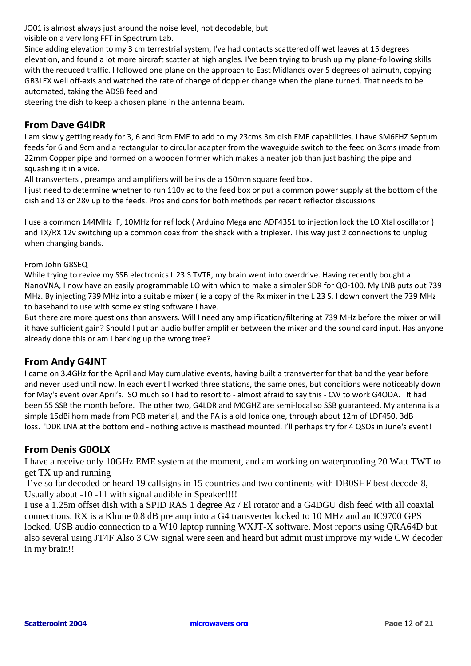JO01 is almost always just around the noise level, not decodable, but

visible on a very long FFT in Spectrum Lab.

Since adding elevation to my 3 cm terrestrial system, I've had contacts scattered off wet leaves at 15 degrees elevation, and found a lot more aircraft scatter at high angles. I've been trying to brush up my plane-following skills with the reduced traffic. I followed one plane on the approach to East Midlands over 5 degrees of azimuth, copying GB3LEX well off-axis and watched the rate of change of doppler change when the plane turned. That needs to be automated, taking the ADSB feed and

steering the dish to keep a chosen plane in the antenna beam.

### **From Dave G4IDR**

I am slowly getting ready for 3, 6 and 9cm EME to add to my 23cms 3m dish EME capabilities. I have SM6FHZ Septum feeds for 6 and 9cm and a rectangular to circular adapter from the waveguide switch to the feed on 3cms (made from 22mm Copper pipe and formed on a wooden former which makes a neater job than just bashing the pipe and squashing it in a vice.

All transverters , preamps and amplifiers will be inside a 150mm square feed box.

I just need to determine whether to run 110v ac to the feed box or put a common power supply at the bottom of the dish and 13 or 28v up to the feeds. Pros and cons for both methods per recent reflector discussions

I use a common 144MHz IF, 10MHz for ref lock ( Arduino Mega and ADF4351 to injection lock the LO Xtal oscillator ) and TX/RX 12v switching up a common coax from the shack with a triplexer. This way just 2 connections to unplug when changing bands.

#### From John G8SEQ

While trying to revive my SSB electronics L 23 S TVTR, my brain went into overdrive. Having recently bought a NanoVNA, I now have an easily programmable LO with which to make a simpler SDR for QO-100. My LNB puts out 739 MHz. By injecting 739 MHz into a suitable mixer ( ie a copy of the Rx mixer in the L 23 S, I down convert the 739 MHz to baseband to use with some existing software I have.

But there are more questions than answers. Will I need any amplification/filtering at 739 MHz before the mixer or will it have sufficient gain? Should I put an audio buffer amplifier between the mixer and the sound card input. Has anyone already done this or am I barking up the wrong tree?

### **From Andy G4JNT**

I came on 3.4GHz for the April and May cumulative events, having built a transverter for that band the year before and never used until now. In each event I worked three stations, the same ones, but conditions were noticeably down for May's event over April's. SO much so I had to resort to - almost afraid to say this - CW to work G4ODA. It had been 55 SSB the month before. The other two, G4LDR and M0GHZ are semi-local so SSB guaranteed. My antenna is a simple 15dBi horn made from PCB material, and the PA is a old Ionica one, through about 12m of LDF450, 3dB loss. 'DDK LNA at the bottom end - nothing active is masthead mounted. I'll perhaps try for 4 QSOs in June's event!

### **From Denis G0OLX**

I have a receive only 10GHz EME system at the moment, and am working on waterproofing 20 Watt TWT to get TX up and running

 I've so far decoded or heard 19 callsigns in 15 countries and two continents with DB0SHF best decode-8, Usually about -10 -11 with signal audible in Speaker!!!!

I use a 1.25m offset dish with a SPID RAS 1 degree Az / El rotator and a G4DGU dish feed with all coaxial connections. RX is a Khune 0.8 dB pre amp into a G4 transverter locked to 10 MHz and an IC9700 GPS locked. USB audio connection to a W10 laptop running WXJT-X software. Most reports using QRA64D but also several using JT4F Also 3 CW signal were seen and heard but admit must improve my wide CW decoder in my brain!!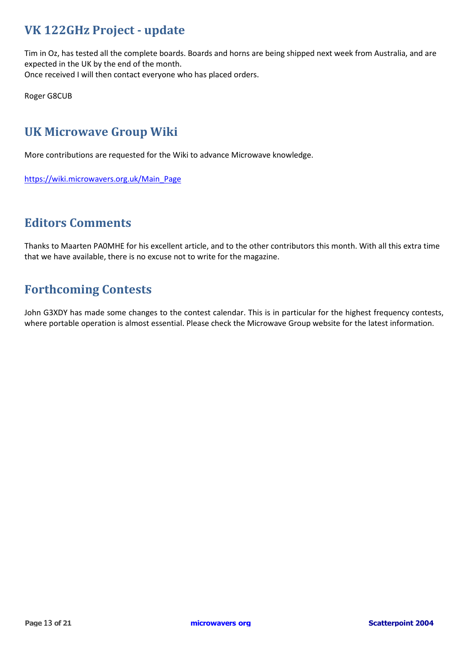# **VK 122GHz Project - update**

Tim in Oz, has tested all the complete boards. Boards and horns are being shipped next week from Australia, and are expected in the UK by the end of the month. Once received I will then contact everyone who has placed orders.

Roger G8CUB

# **UK Microwave Group Wiki**

More contributions are requested for the Wiki to advance Microwave knowledge.

https://wiki.microwavers.org.uk/Main\_Page

# **Editors Comments**

Thanks to Maarten PA0MHE for his excellent article, and to the other contributors this month. With all this extra time that we have available, there is no excuse not to write for the magazine.

# **Forthcoming Contests**

John G3XDY has made some changes to the contest calendar. This is in particular for the highest frequency contests, where portable operation is almost essential. Please check the Microwave Group website for the latest information.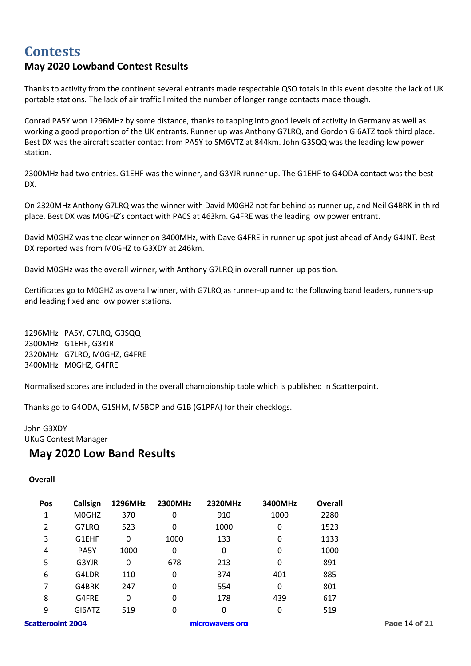# **Contests May 2020 Lowband Contest Results**

Thanks to activity from the continent several entrants made respectable QSO totals in this event despite the lack of UK portable stations. The lack of air traffic limited the number of longer range contacts made though.

Conrad PA5Y won 1296MHz by some distance, thanks to tapping into good levels of activity in Germany as well as working a good proportion of the UK entrants. Runner up was Anthony G7LRQ, and Gordon GI6ATZ took third place. Best DX was the aircraft scatter contact from PA5Y to SM6VTZ at 844km. John G3SQQ was the leading low power station.

2300MHz had two entries. G1EHF was the winner, and G3YJR runner up. The G1EHF to G4ODA contact was the best DX.

On 2320MHz Anthony G7LRQ was the winner with David M0GHZ not far behind as runner up, and Neil G4BRK in third place. Best DX was M0GHZ's contact with PA0S at 463km. G4FRE was the leading low power entrant.

David M0GHZ was the clear winner on 3400MHz, with Dave G4FRE in runner up spot just ahead of Andy G4JNT. Best DX reported was from M0GHZ to G3XDY at 246km.

David M0GHz was the overall winner, with Anthony G7LRQ in overall runner-up position.

Certificates go to M0GHZ as overall winner, with G7LRQ as runner-up and to the following band leaders, runners-up and leading fixed and low power stations.

1296MHz PA5Y, G7LRQ, G3SQQ 2300MHz G1EHF, G3YJR 2320MHz G7LRQ, M0GHZ, G4FRE 3400MHz M0GHZ, G4FRE

Normalised scores are included in the overall championship table which is published in Scatterpoint.

Thanks go to G4ODA, G1SHM, M5BOP and G1B (G1PPA) for their checklogs.

## John G3XDY UKuG Contest Manager

## **May 2020 Low Band Results**

#### **Overall**

| <b>Pos</b>               | Callsign | 1296MHz | 2300MHz | 2320MHz         | 3400MHz | Overall |               |
|--------------------------|----------|---------|---------|-----------------|---------|---------|---------------|
| 1                        | M0GHZ    | 370     | 0       | 910             | 1000    | 2280    |               |
| $\overline{2}$           | G7LRQ    | 523     | 0       | 1000            | 0       | 1523    |               |
| 3                        | G1EHF    | 0       | 1000    | 133             | 0       | 1133    |               |
| 4                        | PA5Y     | 1000    | 0       | 0               | 0       | 1000    |               |
| 5                        | G3YJR    | 0       | 678     | 213             | 0       | 891     |               |
| 6                        | G4LDR    | 110     | 0       | 374             | 401     | 885     |               |
| 7                        | G4BRK    | 247     | 0       | 554             | 0       | 801     |               |
| 8                        | G4FRE    | 0       | 0       | 178             | 439     | 617     |               |
| 9                        | GI6ATZ   | 519     | 0       | 0               | 0       | 519     |               |
| <b>Scatterpoint 2004</b> |          |         |         | microwavers org |         |         | Page 14 of 21 |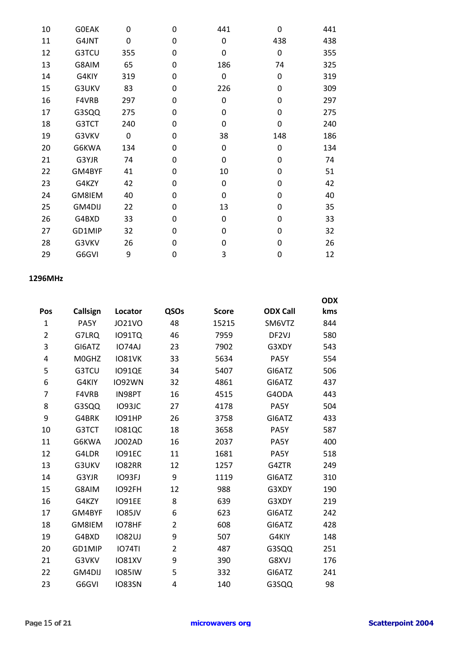| 10 | <b>GOEAK</b> | 0   | 0        | 441 | 0        | 441 |
|----|--------------|-----|----------|-----|----------|-----|
| 11 | G4JNT        | 0   | 0        | 0   | 438      | 438 |
| 12 | G3TCU        | 355 | 0        | 0   | 0        | 355 |
| 13 | G8AIM        | 65  | 0        | 186 | 74       | 325 |
| 14 | G4KIY        | 319 | 0        | 0   | 0        | 319 |
| 15 | G3UKV        | 83  | 0        | 226 | 0        | 309 |
| 16 | F4VRB        | 297 | 0        | 0   | 0        | 297 |
| 17 | G3SQQ        | 275 | 0        | 0   | 0        | 275 |
| 18 | G3TCT        | 240 | 0        | 0   | 0        | 240 |
| 19 | G3VKV        | 0   | 0        | 38  | 148      | 186 |
| 20 | G6KWA        | 134 | 0        | 0   | 0        | 134 |
| 21 | G3YJR        | 74  | 0        | 0   | 0        | 74  |
| 22 | GM4BYF       | 41  | 0        | 10  | 0        | 51  |
| 23 | G4KZY        | 42  | 0        | 0   | 0        | 42  |
| 24 | GM8IEM       | 40  | 0        | 0   | 0        | 40  |
| 25 | GM4DIJ       | 22  | 0        | 13  | 0        | 35  |
| 26 | G4BXD        | 33  | 0        | 0   | 0        | 33  |
| 27 | GD1MIP       | 32  | $\Omega$ | 0   | $\Omega$ | 32  |
| 28 | G3VKV        | 26  | 0        | 0   | 0        | 26  |
| 29 | G6GVI        | 9   | 0        | 3   | 0        | 12  |
|    |              |     |          |     |          |     |

#### **1296MHz**

|                |              |               |                |              |                   | <b>ODX</b> |
|----------------|--------------|---------------|----------------|--------------|-------------------|------------|
| Pos            | Callsign     | Locator       | QSOs           | <b>Score</b> | <b>ODX Call</b>   | kms        |
| 1              | PA5Y         | <b>JO21VO</b> | 48             | 15215        | SM6VTZ            | 844        |
| $\overline{2}$ | G7LRQ        | <b>IO91TQ</b> | 46             | 7959         | DF <sub>2VJ</sub> | 580        |
| 3              | GI6ATZ       | IO74AJ        | 23             | 7902         | G3XDY             | 543        |
| 4              | M0GHZ        | <b>IO81VK</b> | 33             | 5634         | PA5Y              | 554        |
| 5              | G3TCU        | <b>IO91QE</b> | 34             | 5407         | GI6ATZ            | 506        |
| 6              | G4KIY        | <b>IO92WN</b> | 32             | 4861         | GI6ATZ            | 437        |
| 7              | <b>F4VRB</b> | IN98PT        | 16             | 4515         | G4ODA             | 443        |
| 8              | G3SQQ        | <b>IO93JC</b> | 27             | 4178         | PA5Y              | 504        |
| 9              | G4BRK        | <b>IO91HP</b> | 26             | 3758         | GI6ATZ            | 433        |
| 10             | G3TCT        | <b>IO81QC</b> | 18             | 3658         | PA5Y              | 587        |
| 11             | G6KWA        | JO02AD        | 16             | 2037         | PA5Y              | 400        |
| 12             | G4LDR        | <b>IO91EC</b> | 11             | 1681         | PA5Y              | 518        |
| 13             | G3UKV        | <b>IO82RR</b> | 12             | 1257         | G4ZTR             | 249        |
| 14             | G3YJR        | IO93FJ        | 9              | 1119         | GI6ATZ            | 310        |
| 15             | G8AIM        | <b>IO92FH</b> | 12             | 988          | G3XDY             | 190        |
| 16             | G4KZY        | <b>IO91EE</b> | 8              | 639          | G3XDY             | 219        |
| 17             | GM4BYF       | <b>IO85JV</b> | 6              | 623          | GI6ATZ            | 242        |
| 18             | GM8IEM       | IO78HF        | $\overline{2}$ | 608          | GI6ATZ            | 428        |
| 19             | G4BXD        | <b>IO82UJ</b> | 9              | 507          | G4KIY             | 148        |
| 20             | GD1MIP       | <b>IO74TI</b> | $\overline{2}$ | 487          | G3SQQ             | 251        |
| 21             | G3VKV        | <b>IO81XV</b> | 9              | 390          | G8XVJ             | 176        |
| 22             | GM4DIJ       | <b>IO85IW</b> | 5              | 332          | GI6ATZ            | 241        |
| 23             | G6GVI        | <b>IO83SN</b> | 4              | 140          | G3SQQ             | 98         |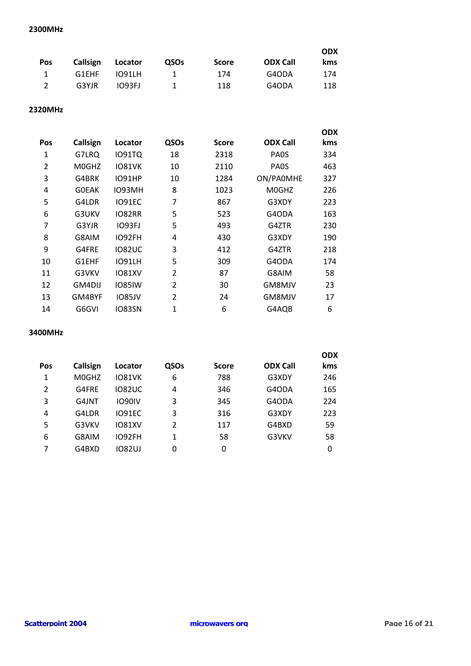#### **2300MHz**

|                |          |         |             |       |                 | <b>ODX</b> |
|----------------|----------|---------|-------------|-------|-----------------|------------|
| Pos            | Callsign | Locator | <b>QSOs</b> | Score | <b>ODX Call</b> | kms        |
| $\mathbf{1}$   | G1EHF    | 1091LH  | 1.          | 174   | G4ODA           | 174        |
| $\overline{2}$ | G3YJR    | IO93FJ  | 1.          | 118   | G4ODA           | 118        |

### **2320MHz**

|     |              |               |                |              |                   | <b>ODX</b> |
|-----|--------------|---------------|----------------|--------------|-------------------|------------|
| Pos | Callsign     | Locator       | QSOs           | <b>Score</b> | <b>ODX Call</b>   | kms        |
| 1   | G7LRQ        | 1091TQ        | 18             | 2318         | PA <sub>0</sub> S | 334        |
| 2   | M0GHZ        | <b>IO81VK</b> | 10             | 2110         | PA <sub>0</sub> S | 463        |
| 3   | G4BRK        | <b>IO91HP</b> | 10             | 1284         | ON/PA0MHE         | 327        |
| 4   | <b>GOEAK</b> | IO93MH        | 8              | 1023         | M0GHZ             | 226        |
| 5   | G4LDR        | IO91EC        | 7              | 867          | G3XDY             | 223        |
| 6   | G3UKV        | <b>IO82RR</b> | 5              | 523          | G4ODA             | 163        |
| 7   | G3YJR        | IO93FJ        | 5              | 493          | G4ZTR             | 230        |
| 8   | G8AIM        | <b>IO92FH</b> | 4              | 430          | G3XDY             | 190        |
| 9   | G4FRE        | <b>IO82UC</b> | 3              | 412          | G4ZTR             | 218        |
| 10  | G1EHF        | <b>IO91LH</b> | 5              | 309          | G4ODA             | 174        |
| 11  | G3VKV        | <b>IO81XV</b> | 2              | 87           | G8AIM             | 58         |
| 12  | GM4DIJ       | <b>IO85IW</b> | $\overline{2}$ | 30           | GM8MJV            | 23         |
| 13  | GM4BYF       | <b>IO85JV</b> | 2              | 24           | GM8MJV            | 17         |
| 14  | G6GVI        | <b>IO83SN</b> | 1              | 6            | G4AQB             | 6          |

#### **3400MHz**

|          |               |                |              |                 | <b>ODX</b> |
|----------|---------------|----------------|--------------|-----------------|------------|
| Callsign | Locator       | QSOs           | <b>Score</b> | <b>ODX Call</b> | kms        |
| M0GHZ    | <b>IO81VK</b> | 6              | 788          | G3XDY           | 246        |
| G4FRE    | <b>IO82UC</b> | 4              | 346          | G4ODA           | 165        |
| G4JNT    | <b>IO90IV</b> | 3              | 345          | G4ODA           | 224        |
| G4LDR    | <b>IO91EC</b> | 3              | 316          | G3XDY           | 223        |
| G3VKV    | <b>IO81XV</b> | $\mathfrak{p}$ | 117          | G4BXD           | 59         |
| G8AIM    | <b>IO92FH</b> | 1              | 58           | G3VKV           | 58         |
| G4BXD    | 1082UJ        | 0              | 0            |                 | 0          |
|          |               |                |              |                 |            |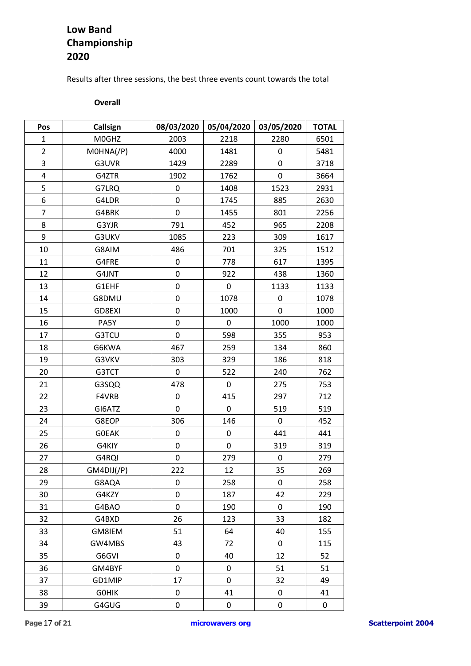## **Low Band Championship 2020**

Results after three sessions, the best three events count towards the total

#### **Overall**

| Pos            | Callsign        | 08/03/2020 | 05/04/2020 | 03/05/2020 | <b>TOTAL</b> |
|----------------|-----------------|------------|------------|------------|--------------|
| 1              | M0GHZ           | 2003       | 2218       | 2280       | 6501         |
| $\overline{2}$ | $MOHNA$ $($ /P) | 4000       | 1481       | 0          | 5481         |
| 3              | G3UVR           | 1429       | 2289       | 0          | 3718         |
| $\overline{4}$ | G4ZTR           | 1902       | 1762       | 0          | 3664         |
| 5              | G7LRQ           | 0          | 1408       | 1523       | 2931         |
| 6              | G4LDR           | 0          | 1745       | 885        | 2630         |
| $\overline{7}$ | G4BRK           | 0          | 1455       | 801        | 2256         |
| 8              | G3YJR           | 791        | 452        | 965        | 2208         |
| 9              | G3UKV           | 1085       | 223        | 309        | 1617         |
| 10             | G8AIM           | 486        | 701        | 325        | 1512         |
| 11             | G4FRE           | 0          | 778        | 617        | 1395         |
| 12             | G4JNT           | 0          | 922        | 438        | 1360         |
| 13             | G1EHF           | 0          | 0          | 1133       | 1133         |
| 14             | G8DMU           | 0          | 1078       | 0          | 1078         |
| 15             | GD8EXI          | 0          | 1000       | 0          | 1000         |
| 16             | PA5Y            | 0          | 0          | 1000       | 1000         |
| 17             | G3TCU           | 0          | 598        | 355        | 953          |
| 18             | G6KWA           | 467        | 259        | 134        | 860          |
| 19             | G3VKV           | 303        | 329        | 186        | 818          |
| 20             | G3TCT           | 0          | 522        | 240        | 762          |
| 21             | G3SQQ           | 478        | 0          | 275        | 753          |
| 22             | F4VRB           | 0          | 415        | 297        | 712          |
| 23             | GI6ATZ          | 0          | 0          | 519        | 519          |
| 24             | G8EOP           | 306        | 146        | 0          | 452          |
| 25             | <b>GOEAK</b>    | 0          | 0          | 441        | 441          |
| 26             | G4KIY           | 0          | 0          | 319        | 319          |
| 27             | G4RQI           | 0          | 279        | 0          | 279          |
| 28             | GM4DIJ(/P)      | 222        | 12         | 35         | 269          |
| 29             | G8AQA           | 0          | 258        | 0          | 258          |
| 30             | G4KZY           | 0          | 187        | 42         | 229          |
| 31             | G4BAO           | 0          | 190        | 0          | 190          |
| 32             | G4BXD           | 26         | 123        | 33         | 182          |
| 33             | GM8IEM          | 51         | 64         | 40         | 155          |
| 34             | GW4MBS          | 43         | 72         | 0          | 115          |
| 35             | G6GVI           | 0          | 40         | 12         | 52           |
| 36             | GM4BYF          | 0          | 0          | 51         | 51           |
| 37             | GD1MIP          | 17         | 0          | 32         | 49           |
| 38             | <b>GOHIK</b>    | 0          | 41         | 0          | 41           |
| 39             | G4GUG           | 0          | 0          | 0          | 0            |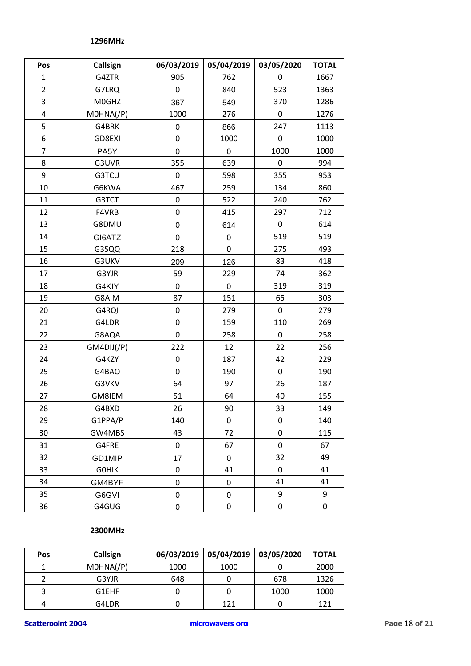#### **1296MHz**

| Pos            | Callsign        | 06/03/2019       | 05/04/2019 | 03/05/2020 | <b>TOTAL</b> |
|----------------|-----------------|------------------|------------|------------|--------------|
| 1              | G4ZTR           | 905              | 762        | 0          | 1667         |
| $\overline{2}$ | G7LRQ           | 0                | 840        | 523        | 1363         |
| 3              | M0GHZ           | 367              | 549        | 370        | 1286         |
| 4              | $MOHNA$ $($ /P) | 1000             | 276        | 0          | 1276         |
| 5              | G4BRK           | $\boldsymbol{0}$ | 866        | 247        | 1113         |
| 6              | GD8EXI          | 0                | 1000       | 0          | 1000         |
| $\overline{7}$ | PA5Y            | $\boldsymbol{0}$ | 0          | 1000       | 1000         |
| 8              | G3UVR           | 355              | 639        | 0          | 994          |
| 9              | G3TCU           | 0                | 598        | 355        | 953          |
| 10             | G6KWA           | 467              | 259        | 134        | 860          |
| 11             | G3TCT           | 0                | 522        | 240        | 762          |
| 12             | F4VRB           | 0                | 415        | 297        | 712          |
| 13             | G8DMU           | $\pmb{0}$        | 614        | 0          | 614          |
| 14             | GI6ATZ          | $\boldsymbol{0}$ | 0          | 519        | 519          |
| 15             | G3SQQ           | 218              | 0          | 275        | 493          |
| 16             | G3UKV           | 209              | 126        | 83         | 418          |
| 17             | G3YJR           | 59               | 229        | 74         | 362          |
| 18             | G4KIY           | $\mathbf 0$      | 0          | 319        | 319          |
| 19             | G8AIM           | 87               | 151        | 65         | 303          |
| 20             | G4RQI           | 0                | 279        | 0          | 279          |
| 21             | G4LDR           | 0                | 159        | 110        | 269          |
| 22             | G8AQA           | $\pmb{0}$        | 258        | 0          | 258          |
| 23             | GM4DU(P)        | 222              | 12         | 22         | 256          |
| 24             | G4KZY           | $\pmb{0}$        | 187        | 42         | 229          |
| 25             | G4BAO           | 0                | 190        | 0          | 190          |
| 26             | G3VKV           | 64               | 97         | 26         | 187          |
| 27             | GM8IEM          | 51               | 64         | 40         | 155          |
| 28             | G4BXD           | 26               | 90         | 33         | 149          |
| 29             | G1PPA/P         | 140              | 0          | 0          | 140          |
| 30             | GW4MBS          | 43               | 72         | 0          | 115          |
| 31             | G4FRE           | 0                | 67         | 0          | 67           |
| 32             | GD1MIP          | 17               | 0          | 32         | 49           |
| 33             | <b>GOHIK</b>    | 0                | 41         | 0          | 41           |
| 34             | GM4BYF          | $\boldsymbol{0}$ | 0          | 41         | 41           |
| 35             | G6GVI           | 0                | 0          | 9          | 9            |
| 36             | G4GUG           | 0                | 0          | 0          | 0            |

#### **2300MHz**

| Pos | Callsign        | 06/03/2019 | 05/04/2019 | 03/05/2020 | <b>TOTAL</b> |
|-----|-----------------|------------|------------|------------|--------------|
|     | $MOHNA$ / $(P)$ | 1000       | 1000       |            | 2000         |
|     | G3YJR           | 648        |            | 678        | 1326         |
|     | G1EHF           |            |            | 1000       | 1000         |
| 4   | G4LDR           |            | 121        |            | 121          |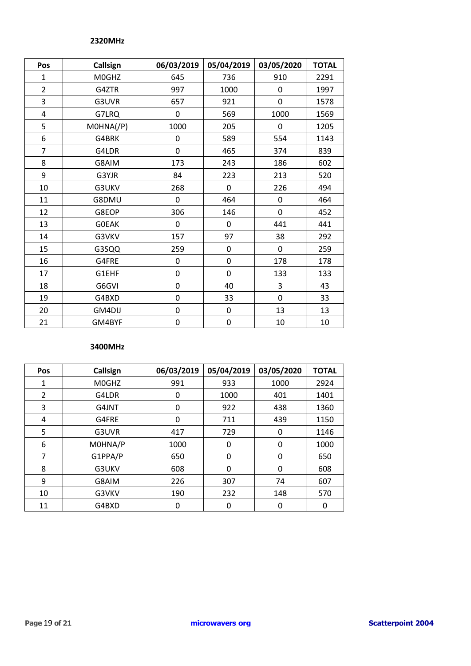#### **2320MHz**

| Pos                     | Callsign           | 06/03/2019 | 05/04/2019       | 03/05/2020  | <b>TOTAL</b> |
|-------------------------|--------------------|------------|------------------|-------------|--------------|
| $\mathbf{1}$            | M0GHZ              | 645        | 736              | 910         | 2291         |
| $\overline{2}$          | G4ZTR              | 997        | 1000             | 0           | 1997         |
| 3                       | G3UVR              | 657        | 921              | 0           | 1578         |
| $\overline{\mathbf{4}}$ | G7LRQ              | 0          | 569              | 1000        | 1569         |
| 5                       | $MOHNA$ $($ /P $)$ | 1000       | 205              | $\Omega$    | 1205         |
| 6                       | G4BRK              | 0          | 589              | 554         | 1143         |
| $\overline{7}$          | G4LDR              | 0          | 465              | 374         | 839          |
| 8                       | G8AIM              | 173        | 243              | 186         | 602          |
| 9                       | G3YJR              | 84         | 223              | 213         | 520          |
| 10                      | G3UKV              | 268        | $\mathbf 0$      | 226         | 494          |
| 11                      | G8DMU              | 0          | 464              | 0           | 464          |
| 12                      | G8EOP              | 306        | 146              | $\mathbf 0$ | 452          |
| 13                      | <b>GOEAK</b>       | 0          | 0                | 441         | 441          |
| 14                      | G3VKV              | 157        | 97               | 38          | 292          |
| 15                      | G3SQQ              | 259        | 0                | 0           | 259          |
| 16                      | G4FRE              | 0          | 0                | 178         | 178          |
| 17                      | G1EHF              | 0          | $\boldsymbol{0}$ | 133         | 133          |
| 18                      | G6GVI              | 0          | 40               | 3           | 43           |
| 19                      | G4BXD              | 0          | 33               | 0           | 33           |
| 20                      | GM4DIJ             | 0          | 0                | 13          | 13           |
| 21                      | GM4BYF             | 0          | $\pmb{0}$        | 10          | 10           |

#### **3400MHz**

| Pos | Callsign | 06/03/2019 | 05/04/2019 | 03/05/2020 | <b>TOTAL</b> |
|-----|----------|------------|------------|------------|--------------|
| 1   | M0GHZ    | 991        | 933        | 1000       | 2924         |
| 2   | G4LDR    | 0          | 1000       | 401        | 1401         |
| 3   | G4JNT    | 0          | 922        | 438        | 1360         |
| 4   | G4FRE    | 0          | 711        | 439        | 1150         |
| 5   | G3UVR    | 417        | 729        | 0          | 1146         |
| 6   | MOHNA/P  | 1000       | 0          | 0          | 1000         |
| 7   | G1PPA/P  | 650        | 0          | 0          | 650          |
| 8   | G3UKV    | 608        | 0          | 0          | 608          |
| 9   | G8AIM    | 226        | 307        | 74         | 607          |
| 10  | G3VKV    | 190        | 232        | 148        | 570          |
| 11  | G4BXD    | 0          | 0          | 0          | 0            |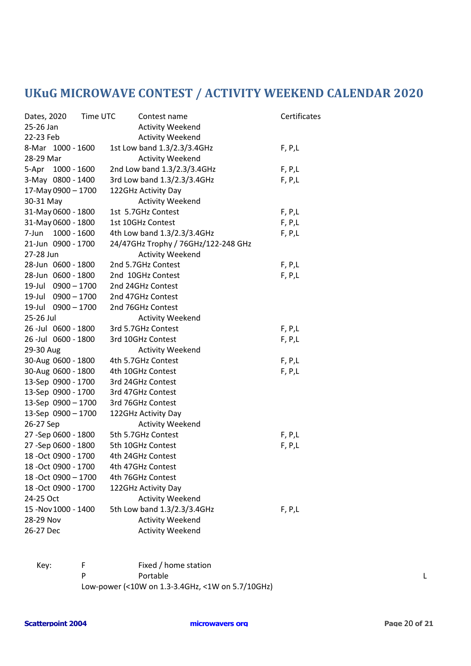# **UKuG MICROWAVE CONTEST / ACTIVITY WEEKEND CALENDAR 2020**

| Time UTC<br>Dates, 2020 | Contest name                        | Certificates |
|-------------------------|-------------------------------------|--------------|
| 25-26 Jan               | <b>Activity Weekend</b>             |              |
| 22-23 Feb               | <b>Activity Weekend</b>             |              |
| 8-Mar 1000 - 1600       | 1st Low band 1.3/2.3/3.4GHz         | F, P, L      |
| 28-29 Mar               | <b>Activity Weekend</b>             |              |
| 5-Apr 1000 - 1600       | 2nd Low band 1.3/2.3/3.4GHz         | F, P, L      |
| 3-May 0800 - 1400       | 3rd Low band 1.3/2.3/3.4GHz         | F, P, L      |
| 17-May 0900 - 1700      | 122GHz Activity Day                 |              |
| 30-31 May               | <b>Activity Weekend</b>             |              |
| 31-May 0600 - 1800      | 1st 5.7GHz Contest                  | F, P, L      |
| 31-May 0600 - 1800      | 1st 10GHz Contest                   | F, P, L      |
| 1000 - 1600<br>7-Jun    | 4th Low band 1.3/2.3/3.4GHz         | F, P, L      |
| 21-Jun 0900 - 1700      | 24/47GHz Trophy / 76GHz/122-248 GHz |              |
| 27-28 Jun               | <b>Activity Weekend</b>             |              |
| 28-Jun 0600 - 1800      | 2nd 5.7GHz Contest                  | F, P,L       |
| 28-Jun 0600 - 1800      | 2nd 10GHz Contest                   | F, P, L      |
| 19-Jul 0900 - 1700      | 2nd 24GHz Contest                   |              |
| 19-Jul 0900 - 1700      | 2nd 47GHz Contest                   |              |
| 19-Jul 0900 - 1700      | 2nd 76GHz Contest                   |              |
| 25-26 Jul               | <b>Activity Weekend</b>             |              |
| 26 -Jul 0600 - 1800     | 3rd 5.7GHz Contest                  | F, P, L      |
| 26 -Jul 0600 - 1800     | 3rd 10GHz Contest                   | F, P, L      |
| 29-30 Aug               | <b>Activity Weekend</b>             |              |
| 30-Aug 0600 - 1800      | 4th 5.7GHz Contest                  | F, P, L      |
| 30-Aug 0600 - 1800      | 4th 10GHz Contest                   | F, P, L      |
| 13-Sep 0900 - 1700      | 3rd 24GHz Contest                   |              |
| 13-Sep 0900 - 1700      | 3rd 47GHz Contest                   |              |
| 13-Sep 0900 - 1700      | 3rd 76GHz Contest                   |              |
| 13-Sep 0900 - 1700      | 122GHz Activity Day                 |              |
| 26-27 Sep               | <b>Activity Weekend</b>             |              |
| 27 - Sep 0600 - 1800    | 5th 5.7GHz Contest                  | F, P, L      |
| 27 - Sep 0600 - 1800    | 5th 10GHz Contest                   | F, P, L      |
| 18 - Oct 0900 - 1700    | 4th 24GHz Contest                   |              |
| 18 - Oct 0900 - 1700    | 4th 47GHz Contest                   |              |
| 18 - Oct 0900 - 1700    | 4th 76GHz Contest                   |              |
| 18 - Oct 0900 - 1700    | 122GHz Activity Day                 |              |
| 24-25 Oct               | <b>Activity Weekend</b>             |              |
| 15 - Nov 1000 - 1400    | 5th Low band 1.3/2.3/3.4GHz         | F, P, L      |
| 28-29 Nov               | <b>Activity Weekend</b>             |              |
| 26-27 Dec               | <b>Activity Weekend</b>             |              |

Key: F Fixed / home station P Portable Later and the Portable Later and the Later and Later and Later and Later and Later and Later and La Low-power (<10W on 1.3-3.4GHz, <1W on 5.7/10GHz)